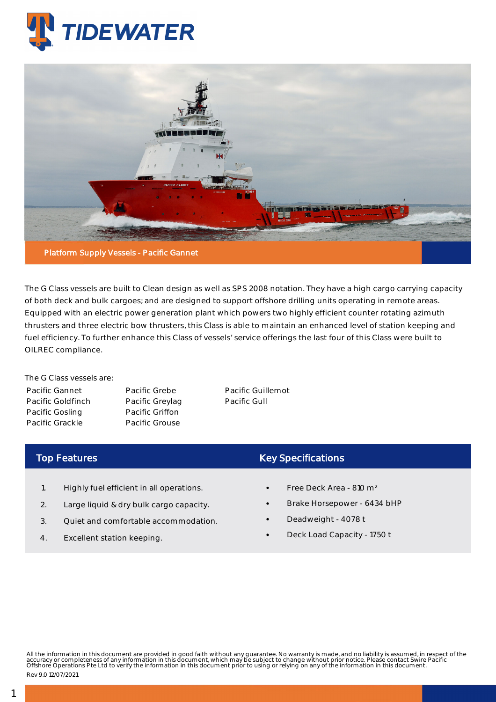



The G Class vessels are built to Clean design as well as SPS 2008 notation. They have a high cargo carrying capacity of both deck and bulk cargoes; and are designed to support offshore drilling units operating in remote areas. Equipped with an electric power generation plant which powers two highly efficient counter rotating azimuth thrusters and three electric bow thrusters, this Class is able to maintain an enhanced level of station keeping and fuel efficiency. To further enhance this Class of vessels' service offerings the last four of this Class were built to OILREC compliance.

The G Class vessels are: Pacific Gannet Pacific Goldfinch Pacific Gosling Pacific Grackle

Pacific Grebe Pacific Greylag Pacific Griffon Pacific Grouse

Pacific Guillemot Pacific Gull

## Top Features

- 1. Highly fuel efficient in all operations.
- 2. Large liquid & dry bulk cargo capacity.
- 3. Quiet and comfortable accommodation.
- 4. Excellent station keeping.

## Key Specifications

- Free Deck Area 810 m²
- Brake Horsepower 6434 bHP
- Deadweight 4078 t
- Deck Load Capacity 1750 t

All the information in this document are provided in good faith without any guarantee. No warranty is made, and no liability is assumed, in respect of the<br>accuracy or completeness of any information in this document, which

Rev 9.0 12/07/2021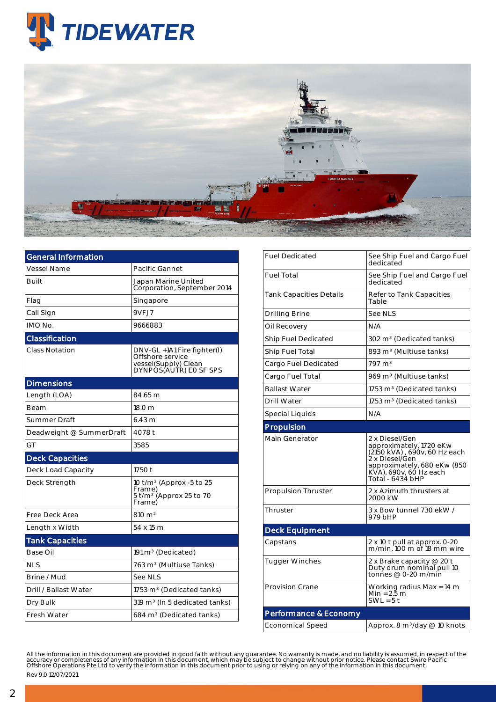



| General Information      |                                                                                                   |  |  |  |  |  |
|--------------------------|---------------------------------------------------------------------------------------------------|--|--|--|--|--|
| <b>Vessel Name</b>       | Pacific Gannet                                                                                    |  |  |  |  |  |
| Built                    | Japan Marine United<br>Corporation, September 2014                                                |  |  |  |  |  |
| Flag                     | Singapore                                                                                         |  |  |  |  |  |
| Call Sign                | 9VFJ7                                                                                             |  |  |  |  |  |
| IMO No.                  | 9666883                                                                                           |  |  |  |  |  |
| Classification           |                                                                                                   |  |  |  |  |  |
| <b>Class Notation</b>    | DNV-GL +1A1 Fire fighter(I)<br>Offshore service<br>vessel(Supply) Clean<br>DYNPOS(AUTR) EO SF SPS |  |  |  |  |  |
| <b>Dimensions</b>        |                                                                                                   |  |  |  |  |  |
| Length (LOA)             | 84.65 m                                                                                           |  |  |  |  |  |
| Beam                     | 18.0 m                                                                                            |  |  |  |  |  |
| Summer Draft             | 6.43 m                                                                                            |  |  |  |  |  |
| Deadweight @ SummerDraft | 4078 t                                                                                            |  |  |  |  |  |
| GT                       | 3585                                                                                              |  |  |  |  |  |
| <b>Deck Capacities</b>   |                                                                                                   |  |  |  |  |  |
| Deck Load Capacity       | 1750 t                                                                                            |  |  |  |  |  |
| Deck Strength            | 10 t/m <sup>2</sup> (Approx -5 to 25<br>Frame)<br>$5$ t/m <sup>2</sup> (Approx 25 to 70<br>Frame) |  |  |  |  |  |
| Free Deck Area           | $810 \; \mathrm{m}^2$                                                                             |  |  |  |  |  |
| Length x Width           | 54 x 15 m                                                                                         |  |  |  |  |  |
| <b>Tank Capacities</b>   |                                                                                                   |  |  |  |  |  |
| Base Oil                 | 191 m <sup>3</sup> (Dedicated)                                                                    |  |  |  |  |  |
| <b>NLS</b>               | 763 m <sup>3</sup> (Multiuse Tanks)                                                               |  |  |  |  |  |
| Brine / Mud              | See NLS                                                                                           |  |  |  |  |  |
| Drill / Ballast Water    | 1753 m <sup>3</sup> (Dedicated tanks)                                                             |  |  |  |  |  |
| Dry Bulk                 | 319 m <sup>3</sup> (In 5 dedicated tanks)                                                         |  |  |  |  |  |
| Fresh Water              | 684 m <sup>3</sup> (Dedicated tanks)                                                              |  |  |  |  |  |

| <b>Fuel Dedicated</b>      | See Ship Fuel and Cargo Fuel<br>dedicated                                                                                                                                |  |  |  |  |
|----------------------------|--------------------------------------------------------------------------------------------------------------------------------------------------------------------------|--|--|--|--|
| <b>Fuel Total</b>          | See Ship Fuel and Cargo Fuel<br>dedicated                                                                                                                                |  |  |  |  |
| Tank Capacities Details    | Refer to Tank Capacities<br>Table                                                                                                                                        |  |  |  |  |
| Drilling Brine             | See NLS                                                                                                                                                                  |  |  |  |  |
| Oil Recovery               | N/A                                                                                                                                                                      |  |  |  |  |
| Ship Fuel Dedicated        | 302 m <sup>3</sup> (Dedicated tanks)                                                                                                                                     |  |  |  |  |
| Ship Fuel Total            | 893 m <sup>3</sup> (Multiuse tanks)                                                                                                                                      |  |  |  |  |
| Cargo Fuel Dedicated       | $797 \text{ m}^3$                                                                                                                                                        |  |  |  |  |
| Cargo Fuel Total           | 969 m <sup>3</sup> (Multiuse tanks)                                                                                                                                      |  |  |  |  |
| <b>Ballast Water</b>       | 1753 m <sup>3</sup> (Dedicated tanks)                                                                                                                                    |  |  |  |  |
| <b>Drill Water</b>         | 1753 m <sup>3</sup> (Dedicated tanks)                                                                                                                                    |  |  |  |  |
| Special Liquids            | N/A                                                                                                                                                                      |  |  |  |  |
| Propulsion                 |                                                                                                                                                                          |  |  |  |  |
| Main Generator             | 2 x Diesel/Gen<br>approximately, 1720 eKw<br>(2150 kVA), 690v, 60 Hz each<br>2 x Diesel/Gen<br>approximately, 680 eKw (850<br>KVA), 690v, 60 Hz each<br>Total - 6434 bHP |  |  |  |  |
| <b>Propulsion Thruster</b> | 2 x Azimuth thrusters at<br>2000 kW                                                                                                                                      |  |  |  |  |
| Thruster                   | 3 x Bow tunnel 730 ekW /<br>979 bHP                                                                                                                                      |  |  |  |  |
| <b>Deck Equipment</b>      |                                                                                                                                                                          |  |  |  |  |
| Capstans                   | 2 x 10 t pull at approx. 0-20<br>m/min. 100 m of 18 mm wire                                                                                                              |  |  |  |  |
| <b>Tugger Winches</b>      | 2 x Brake capacity @ 20 t<br>Duty drum nominal pull 10<br>tonnes @ 0-20 m/min                                                                                            |  |  |  |  |
| <b>Provision Crane</b>     | Working radius Max = 14 m<br>Min = 2.5 m<br>$SWL = 5t$                                                                                                                   |  |  |  |  |
| Performance & Economy      |                                                                                                                                                                          |  |  |  |  |
| <b>Economical Speed</b>    | Approx. 8 m <sup>3</sup> /day @ 10 knots                                                                                                                                 |  |  |  |  |

All the information in this document are provided in good faith without any guarantee. No warranty is made, and no liability is assumed, in respect of the<br>accuracy or completeness of any information in this document, which Rev 9.0 12/07/2021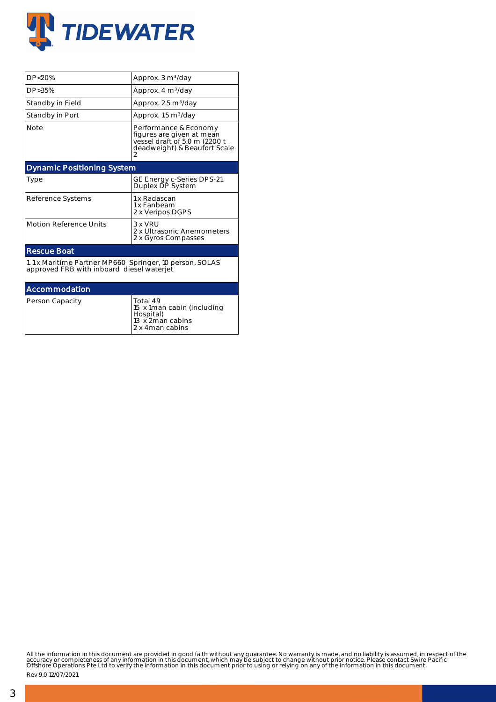

| DP<20%                                                                                               | Approx. 3 m <sup>3</sup> /day                                                                                       |  |  |  |  |
|------------------------------------------------------------------------------------------------------|---------------------------------------------------------------------------------------------------------------------|--|--|--|--|
| DP > 35%                                                                                             | Approx. 4 m <sup>3</sup> /day                                                                                       |  |  |  |  |
| Standby in Field                                                                                     | Approx. 2.5 m <sup>3</sup> /day                                                                                     |  |  |  |  |
| Standby in Port                                                                                      | Approx. 1.5 m <sup>3</sup> /day                                                                                     |  |  |  |  |
| <b>Note</b>                                                                                          | Performance & Economy<br>figures are given at mean<br>vessel draft of 5.0 m (2200 t<br>deadweight) & Beaufort Scale |  |  |  |  |
| <b>Dynamic Positioning System</b>                                                                    |                                                                                                                     |  |  |  |  |
| Type                                                                                                 | GE Energy c-Series DPS-21<br>Duplex DP System                                                                       |  |  |  |  |
| Reference Systems                                                                                    | 1 x Radascan<br>1 x Fanbeam<br>2 x Veripos DGPS                                                                     |  |  |  |  |
| <b>Motion Reference Units</b>                                                                        | $3 \times VRI$<br>2 x Ultrasonic Anemometers<br>2 x Gyros Compasses                                                 |  |  |  |  |
| <b>Rescue Boat</b>                                                                                   |                                                                                                                     |  |  |  |  |
| 1.1 x Maritime Partner MP660 Springer, 10 person, SOLAS<br>approved FRB with inboard diesel waterjet |                                                                                                                     |  |  |  |  |
| Accommodation                                                                                        |                                                                                                                     |  |  |  |  |
| Person Capacity                                                                                      | Total 49<br>15 x 1 man cabin (Including<br>Hospital)<br>13 x 2man cabins                                            |  |  |  |  |

2 x 4man cabins

All the information in this document are provided in good faith without any guarantee. No warranty is made, and no liability is assumed, in respect of the<br>accuracy or completeness of any information in this document, which

Rev 9.0 12/07/2021